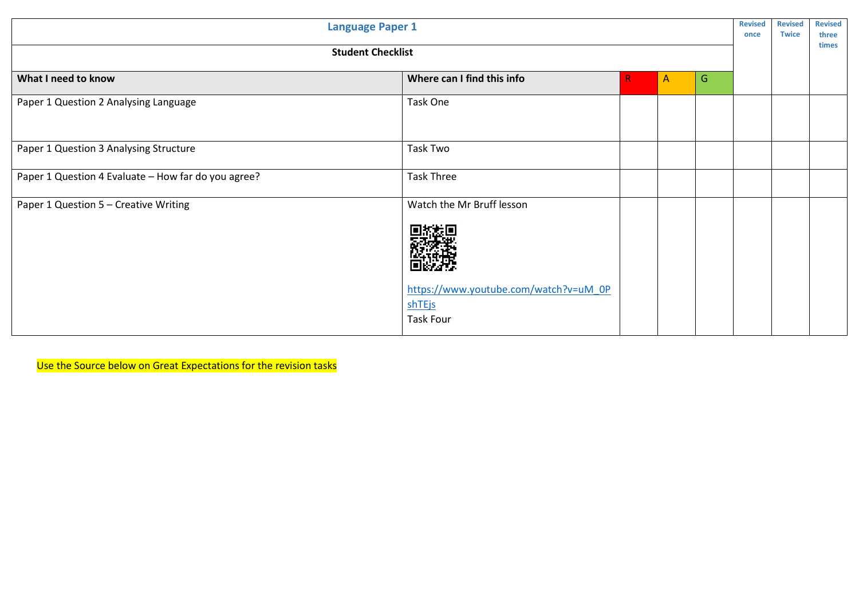| <b>Language Paper 1</b>                             |                                                                                                  |   |                |   | <b>Revised</b><br>once | <b>Revised</b><br><b>Twice</b> | <b>Revised</b><br>three<br>times |
|-----------------------------------------------------|--------------------------------------------------------------------------------------------------|---|----------------|---|------------------------|--------------------------------|----------------------------------|
| <b>Student Checklist</b>                            |                                                                                                  |   |                |   |                        |                                |                                  |
| What I need to know                                 | Where can I find this info                                                                       | R | $\overline{A}$ | G |                        |                                |                                  |
| Paper 1 Question 2 Analysing Language               | Task One                                                                                         |   |                |   |                        |                                |                                  |
| Paper 1 Question 3 Analysing Structure              | Task Two                                                                                         |   |                |   |                        |                                |                                  |
| Paper 1 Question 4 Evaluate - How far do you agree? | <b>Task Three</b>                                                                                |   |                |   |                        |                                |                                  |
| Paper 1 Question 5 - Creative Writing               | Watch the Mr Bruff lesson<br>https://www.youtube.com/watch?v=uM_0P<br>shTEjs<br><b>Task Four</b> |   |                |   |                        |                                |                                  |

Use the Source below on Great Expectations for the revision tasks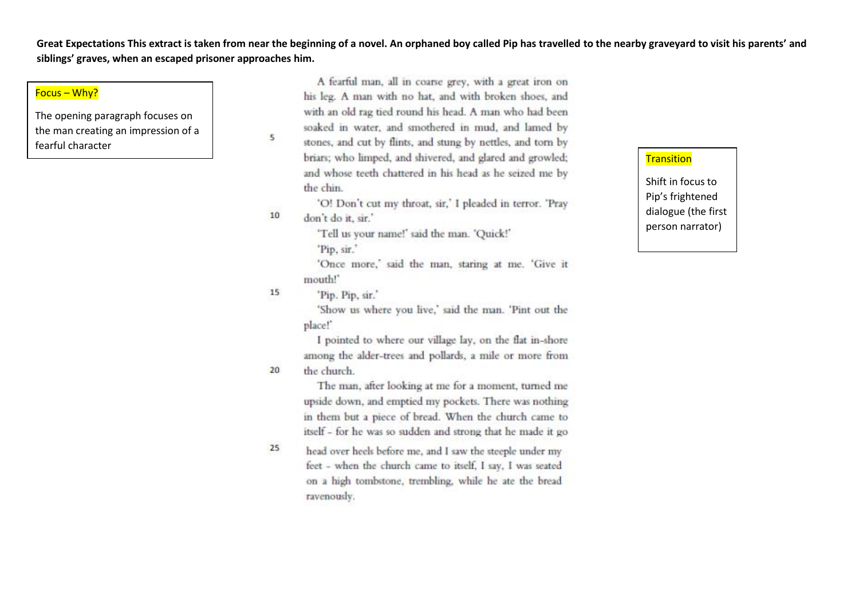**Great Expectations This extract is taken from near the beginning of a novel. An orphaned boy called Pip has travelled to the nearby graveyard to visit his parents' and siblings' graves, when an escaped prisoner approaches him.**

### Focus – Why?

The opening paragraph focuses on the man creating an impression of a fearful character

A fearful man, all in coarse grey, with a great iron on his leg. A man with no hat, and with broken shoes, and with an old rag tied round his head. A man who had been soaked in water, and smothered in mud, and lamed by stones, and cut by flints, and stung by nettles, and torn by briars; who limped, and shivered, and glared and growled; and whose teeth chattered in his head as he seized me by the chin.

'O! Don't cut my throat, sir,' I pleaded in terror. 'Pray don't do it, sir.'

'Tell us your name!' said the man. 'Quick!'

'Pip. sir."

'Once more,' said the man, staring at me. 'Give it mouth!"

15 'Pip. Pip. sir.'

 $5\overline{5}$ 

10

20

'Show us where you live,' said the man. 'Pint out the place!'

I pointed to where our village lay, on the flat in-shore among the alder-trees and pollards, a mile or more from the church.

The man, after looking at me for a moment, turned me upside down, and emptied my pockets. There was nothing in them but a piece of bread. When the church came to itself - for he was so sudden and strong that he made it go

 $25$ head over heels before me, and I saw the steeple under my feet - when the church came to itself, I say, I was seated on a high tombstone, trembling, while he ate the bread ravenously.

#### **Transition**

Shift in focus to Pip's frightened dialogue (the first person narrator)